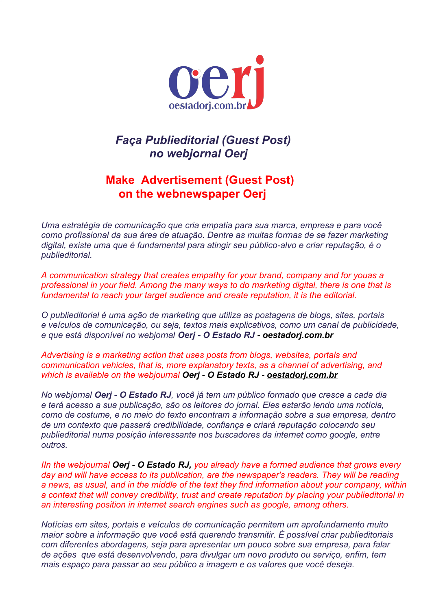

## *Faça Publieditorial (Guest Post) no webjornal Oerj*

## **Make Advertisement (Guest Post) on the webnewspaper Oerj**

*Uma estratégia de comunicação que cria empatia para sua marca, empresa e para você como profissional da sua área de atuação. Dentre as muitas formas de se fazer marketing digital, existe uma que é fundamental para atingir seu público-alvo e criar reputação, é o publieditorial.*

*A communication strategy that creates empathy for your brand, company and for youas a professional in your field. Among the many ways to do marketing digital, there is one that is fundamental to reach your target audience and create reputation, it is the editorial.*

*O publieditorial é uma ação de marketing que utiliza as postagens de blogs, sites, portais e veículos de comunicação, ou seja, textos mais explicativos, como um canal de publicidade, e que está disponível no webjornal Oerj - O Estado RJ - [oestadorj.com.br](http://www.oestadorj.com.br/)*

*Advertising is a marketing action that uses posts from blogs, websites, portals and communication vehicles, that is, more explanatory texts, as a channel of advertising, and which is available on the webjournal Oerj - O Estado RJ - [oestadorj.com.br](http://www.oestadorj.com.br/)*

*No webjornal Oerj - O Estado RJ, você já tem um público formado que cresce a cada dia e terá acesso a sua publicação, são os leitores do jornal. Eles estarão lendo uma notícia, como de costume, e no meio do texto encontram a informação sobre a sua empresa, dentro de um contexto que passará credibilidade, confiança e criará reputação colocando seu publieditorial numa posição interessante nos buscadores da internet como google, entre outros.*

*IIn the webjournal Oerj - O Estado RJ, you already have a formed audience that grows every day and will have access to its publication, are the newspaper's readers. They will be reading a news, as usual, and in the middle of the text they find information about your company, within a context that will convey credibility, trust and create reputation by placing your publieditorial in an interesting position in internet search engines such as google, among others.*

*Notícias em sites, portais e veículos de comunicação permitem um aprofundamento muito maior sobre a informação que você está querendo transmitir. É possível criar publieditoriais com diferentes abordagens, seja para apresentar um pouco sobre sua empresa, para falar de ações que está desenvolvendo, para divulgar um novo produto ou serviço, enfim, tem mais espaço para passar ao seu público a imagem e os valores que você deseja.*